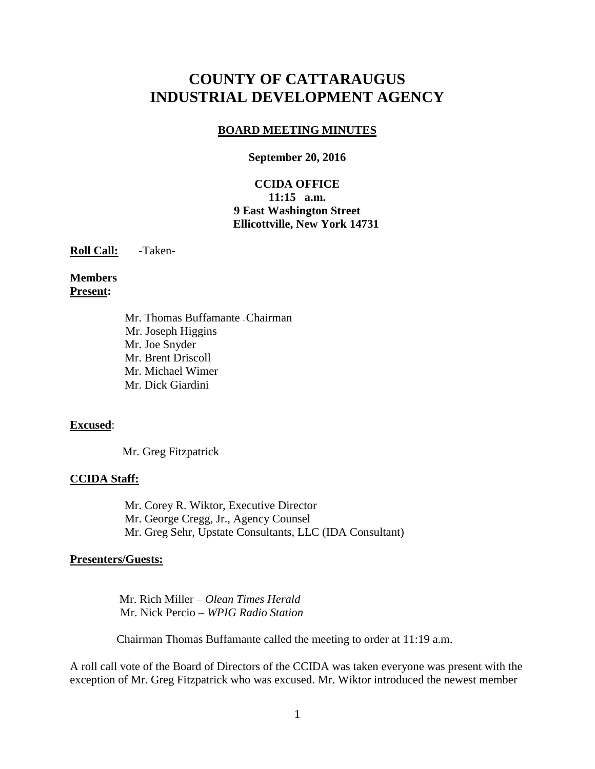# **COUNTY OF CATTARAUGUS INDUSTRIAL DEVELOPMENT AGENCY**

#### **BOARD MEETING MINUTES**

#### **September 20, 2016**

#### **CCIDA OFFICE 11:15 a.m. 9 East Washington Street Ellicottville, New York 14731**

**Roll Call:** -Taken-

#### **Members Present:**

Mr. Thomas Buffamante –Chairman Mr. Joseph Higgins Mr. Joe Snyder Mr. Brent Driscoll Mr. Michael Wimer Mr. Dick Giardini

#### **Excused**:

Mr. Greg Fitzpatrick

#### **CCIDA Staff:**

Mr. Corey R. Wiktor, Executive Director Mr. George Cregg, Jr., Agency Counsel Mr. Greg Sehr, Upstate Consultants, LLC (IDA Consultant)

#### **Presenters/Guests:**

 Mr. Rich Miller – *Olean Times Herald* Mr. Nick Percio – *WPIG Radio Station*

Chairman Thomas Buffamante called the meeting to order at 11:19 a.m.

A roll call vote of the Board of Directors of the CCIDA was taken everyone was present with the exception of Mr. Greg Fitzpatrick who was excused. Mr. Wiktor introduced the newest member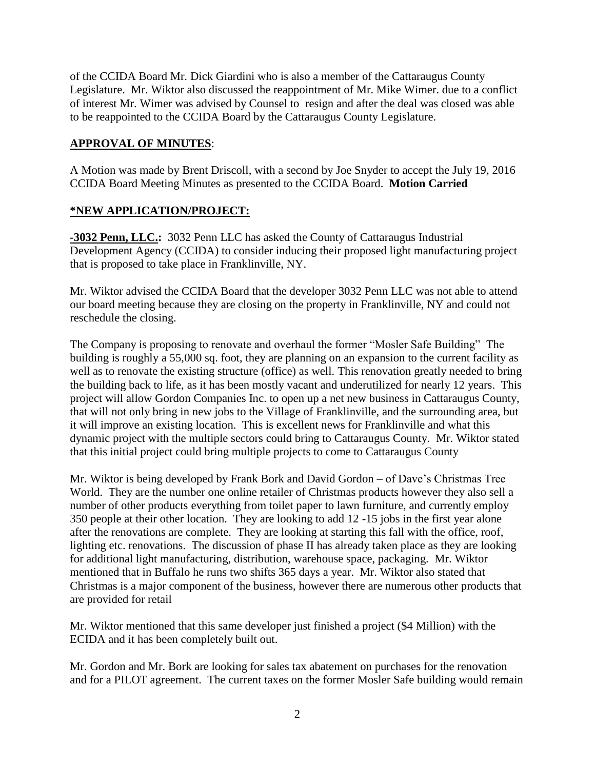of the CCIDA Board Mr. Dick Giardini who is also a member of the Cattaraugus County Legislature. Mr. Wiktor also discussed the reappointment of Mr. Mike Wimer. due to a conflict of interest Mr. Wimer was advised by Counsel to resign and after the deal was closed was able to be reappointed to the CCIDA Board by the Cattaraugus County Legislature.

### **APPROVAL OF MINUTES**:

A Motion was made by Brent Driscoll, with a second by Joe Snyder to accept the July 19, 2016 CCIDA Board Meeting Minutes as presented to the CCIDA Board. **Motion Carried**

### **\*NEW APPLICATION/PROJECT:**

**-3032 Penn, LLC.:** 3032 Penn LLC has asked the County of Cattaraugus Industrial Development Agency (CCIDA) to consider inducing their proposed light manufacturing project that is proposed to take place in Franklinville, NY.

Mr. Wiktor advised the CCIDA Board that the developer 3032 Penn LLC was not able to attend our board meeting because they are closing on the property in Franklinville, NY and could not reschedule the closing.

The Company is proposing to renovate and overhaul the former "Mosler Safe Building" The building is roughly a 55,000 sq. foot, they are planning on an expansion to the current facility as well as to renovate the existing structure (office) as well. This renovation greatly needed to bring the building back to life, as it has been mostly vacant and underutilized for nearly 12 years. This project will allow Gordon Companies Inc. to open up a net new business in Cattaraugus County, that will not only bring in new jobs to the Village of Franklinville, and the surrounding area, but it will improve an existing location. This is excellent news for Franklinville and what this dynamic project with the multiple sectors could bring to Cattaraugus County. Mr. Wiktor stated that this initial project could bring multiple projects to come to Cattaraugus County

Mr. Wiktor is being developed by Frank Bork and David Gordon – of Dave's Christmas Tree World. They are the number one online retailer of Christmas products however they also sell a number of other products everything from toilet paper to lawn furniture, and currently employ 350 people at their other location. They are looking to add 12 -15 jobs in the first year alone after the renovations are complete. They are looking at starting this fall with the office, roof, lighting etc. renovations. The discussion of phase II has already taken place as they are looking for additional light manufacturing, distribution, warehouse space, packaging. Mr. Wiktor mentioned that in Buffalo he runs two shifts 365 days a year. Mr. Wiktor also stated that Christmas is a major component of the business, however there are numerous other products that are provided for retail

Mr. Wiktor mentioned that this same developer just finished a project (\$4 Million) with the ECIDA and it has been completely built out.

Mr. Gordon and Mr. Bork are looking for sales tax abatement on purchases for the renovation and for a PILOT agreement. The current taxes on the former Mosler Safe building would remain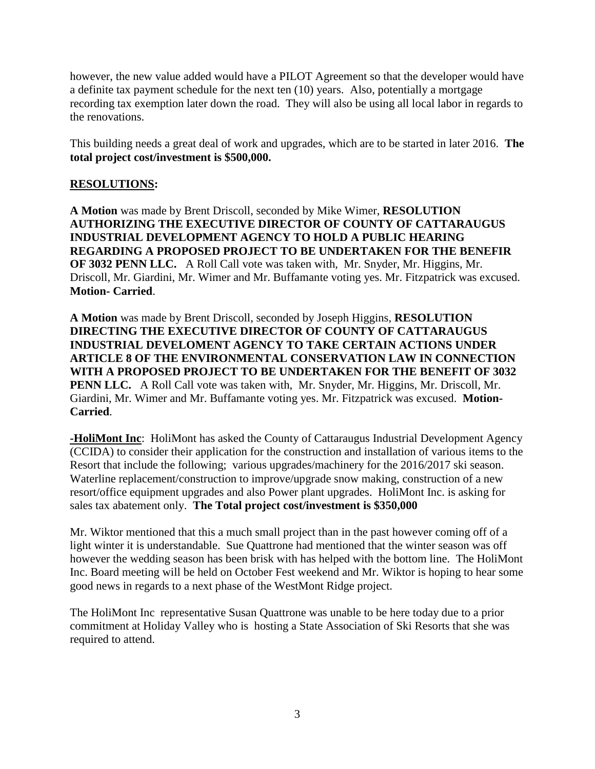however, the new value added would have a PILOT Agreement so that the developer would have a definite tax payment schedule for the next ten (10) years. Also, potentially a mortgage recording tax exemption later down the road. They will also be using all local labor in regards to the renovations.

This building needs a great deal of work and upgrades, which are to be started in later 2016. **The total project cost/investment is \$500,000.**

### **RESOLUTIONS:**

**A Motion** was made by Brent Driscoll, seconded by Mike Wimer, **RESOLUTION AUTHORIZING THE EXECUTIVE DIRECTOR OF COUNTY OF CATTARAUGUS INDUSTRIAL DEVELOPMENT AGENCY TO HOLD A PUBLIC HEARING REGARDING A PROPOSED PROJECT TO BE UNDERTAKEN FOR THE BENEFIR OF 3032 PENN LLC.** A Roll Call vote was taken with, Mr. Snyder, Mr. Higgins, Mr. Driscoll, Mr. Giardini, Mr. Wimer and Mr. Buffamante voting yes. Mr. Fitzpatrick was excused. **Motion- Carried**.

**A Motion** was made by Brent Driscoll, seconded by Joseph Higgins, **RESOLUTION DIRECTING THE EXECUTIVE DIRECTOR OF COUNTY OF CATTARAUGUS INDUSTRIAL DEVELOMENT AGENCY TO TAKE CERTAIN ACTIONS UNDER ARTICLE 8 OF THE ENVIRONMENTAL CONSERVATION LAW IN CONNECTION WITH A PROPOSED PROJECT TO BE UNDERTAKEN FOR THE BENEFIT OF 3032 PENN LLC.** A Roll Call vote was taken with, Mr. Snyder, Mr. Higgins, Mr. Driscoll, Mr. Giardini, Mr. Wimer and Mr. Buffamante voting yes. Mr. Fitzpatrick was excused. **Motion-Carried**.

**-HoliMont Inc**: HoliMont has asked the County of Cattaraugus Industrial Development Agency (CCIDA) to consider their application for the construction and installation of various items to the Resort that include the following; various upgrades/machinery for the 2016/2017 ski season. Waterline replacement/construction to improve/upgrade snow making, construction of a new resort/office equipment upgrades and also Power plant upgrades. HoliMont Inc. is asking for sales tax abatement only. **The Total project cost/investment is \$350,000**

Mr. Wiktor mentioned that this a much small project than in the past however coming off of a light winter it is understandable. Sue Quattrone had mentioned that the winter season was off however the wedding season has been brisk with has helped with the bottom line. The HoliMont Inc. Board meeting will be held on October Fest weekend and Mr. Wiktor is hoping to hear some good news in regards to a next phase of the WestMont Ridge project.

The HoliMont Inc representative Susan Quattrone was unable to be here today due to a prior commitment at Holiday Valley who is hosting a State Association of Ski Resorts that she was required to attend.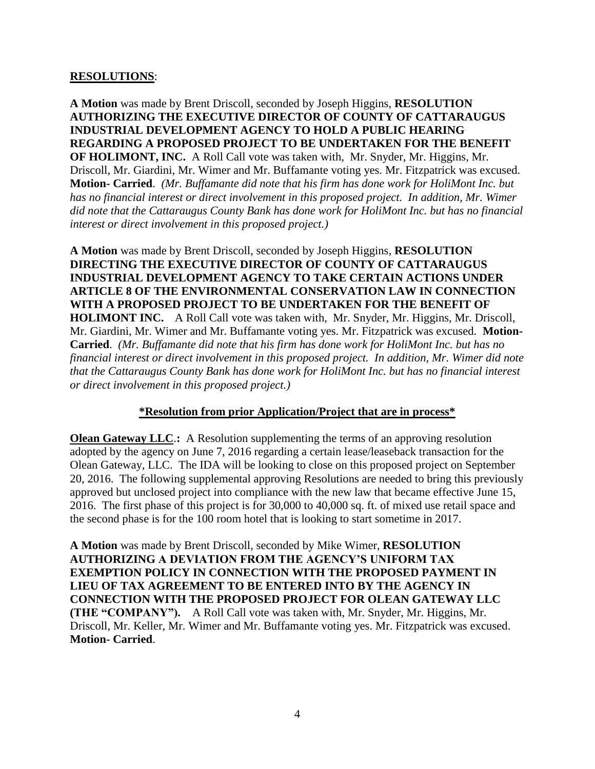#### **RESOLUTIONS**:

**A Motion** was made by Brent Driscoll, seconded by Joseph Higgins, **RESOLUTION AUTHORIZING THE EXECUTIVE DIRECTOR OF COUNTY OF CATTARAUGUS INDUSTRIAL DEVELOPMENT AGENCY TO HOLD A PUBLIC HEARING REGARDING A PROPOSED PROJECT TO BE UNDERTAKEN FOR THE BENEFIT OF HOLIMONT, INC.** A Roll Call vote was taken with, Mr. Snyder, Mr. Higgins, Mr. Driscoll, Mr. Giardini, Mr. Wimer and Mr. Buffamante voting yes. Mr. Fitzpatrick was excused. **Motion- Carried**. *(Mr. Buffamante did note that his firm has done work for HoliMont Inc. but has no financial interest or direct involvement in this proposed project. In addition, Mr. Wimer did note that the Cattaraugus County Bank has done work for HoliMont Inc. but has no financial interest or direct involvement in this proposed project.)*

**A Motion** was made by Brent Driscoll, seconded by Joseph Higgins, **RESOLUTION DIRECTING THE EXECUTIVE DIRECTOR OF COUNTY OF CATTARAUGUS INDUSTRIAL DEVELOPMENT AGENCY TO TAKE CERTAIN ACTIONS UNDER ARTICLE 8 OF THE ENVIRONMENTAL CONSERVATION LAW IN CONNECTION WITH A PROPOSED PROJECT TO BE UNDERTAKEN FOR THE BENEFIT OF HOLIMONT INC.** A Roll Call vote was taken with, Mr. Snyder, Mr. Higgins, Mr. Driscoll, Mr. Giardini, Mr. Wimer and Mr. Buffamante voting yes. Mr. Fitzpatrick was excused. **Motion-Carried**. *(Mr. Buffamante did note that his firm has done work for HoliMont Inc. but has no financial interest or direct involvement in this proposed project. In addition, Mr. Wimer did note that the Cattaraugus County Bank has done work for HoliMont Inc. but has no financial interest or direct involvement in this proposed project.)*

### **\*Resolution from prior Application/Project that are in process\***

**Olean Gateway LLC:** A Resolution supplementing the terms of an approving resolution adopted by the agency on June 7, 2016 regarding a certain lease/leaseback transaction for the Olean Gateway, LLC. The IDA will be looking to close on this proposed project on September 20, 2016. The following supplemental approving Resolutions are needed to bring this previously approved but unclosed project into compliance with the new law that became effective June 15, 2016. The first phase of this project is for 30,000 to 40,000 sq. ft. of mixed use retail space and the second phase is for the 100 room hotel that is looking to start sometime in 2017.

**A Motion** was made by Brent Driscoll, seconded by Mike Wimer, **RESOLUTION AUTHORIZING A DEVIATION FROM THE AGENCY'S UNIFORM TAX EXEMPTION POLICY IN CONNECTION WITH THE PROPOSED PAYMENT IN LIEU OF TAX AGREEMENT TO BE ENTERED INTO BY THE AGENCY IN CONNECTION WITH THE PROPOSED PROJECT FOR OLEAN GATEWAY LLC (THE "COMPANY").** A Roll Call vote was taken with, Mr. Snyder, Mr. Higgins, Mr. Driscoll, Mr. Keller, Mr. Wimer and Mr. Buffamante voting yes. Mr. Fitzpatrick was excused. **Motion- Carried**.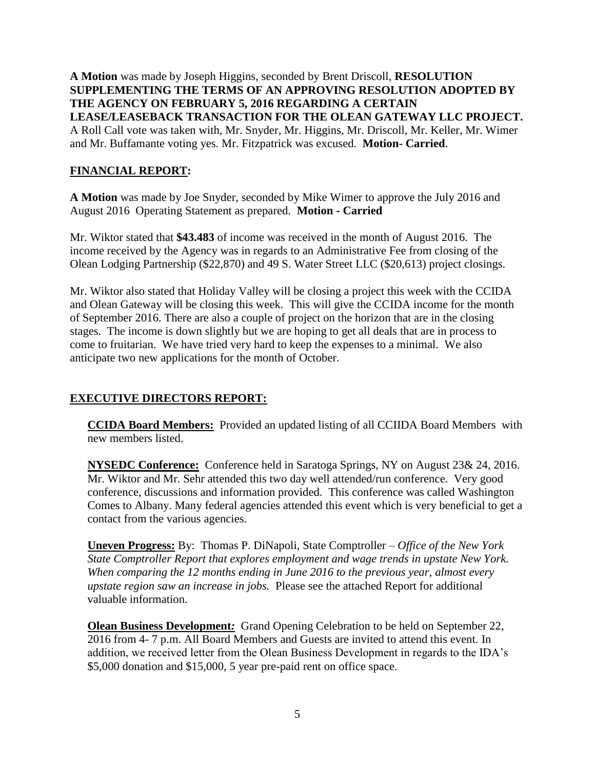**A Motion** was made by Joseph Higgins, seconded by Brent Driscoll, **RESOLUTION SUPPLEMENTING THE TERMS OF AN APPROVING RESOLUTION ADOPTED BY THE AGENCY ON FEBRUARY 5, 2016 REGARDING A CERTAIN LEASE/LEASEBACK TRANSACTION FOR THE OLEAN GATEWAY LLC PROJECT.** A Roll Call vote was taken with, Mr. Snyder, Mr. Higgins, Mr. Driscoll, Mr. Keller, Mr. Wimer and Mr. Buffamante voting yes. Mr. Fitzpatrick was excused. **Motion- Carried**.

### **FINANCIAL REPORT:**

**A Motion** was made by Joe Snyder, seconded by Mike Wimer to approve the July 2016 and August 2016 Operating Statement as prepared. **Motion - Carried**

Mr. Wiktor stated that **\$43.483** of income was received in the month of August 2016. The income received by the Agency was in regards to an Administrative Fee from closing of the Olean Lodging Partnership (\$22,870) and 49 S. Water Street LLC (\$20,613) project closings.

Mr. Wiktor also stated that Holiday Valley will be closing a project this week with the CCIDA and Olean Gateway will be closing this week. This will give the CCIDA income for the month of September 2016. There are also a couple of project on the horizon that are in the closing stages. The income is down slightly but we are hoping to get all deals that are in process to come to fruitarian. We have tried very hard to keep the expenses to a minimal. We also anticipate two new applications for the month of October.

# **EXECUTIVE DIRECTORS REPORT:**

**CCIDA Board Members:** Provided an updated listing of all CCIIDA Board Members with new members listed.

**NYSEDC Conference:** Conference held in Saratoga Springs, NY on August 23& 24, 2016. Mr. Wiktor and Mr. Sehr attended this two day well attended/run conference. Very good conference, discussions and information provided. This conference was called Washington Comes to Albany. Many federal agencies attended this event which is very beneficial to get a contact from the various agencies.

**Uneven Progress:** By: Thomas P. DiNapoli, State Comptroller – *Office of the New York State Comptroller Report that explores employment and wage trends in upstate New York. When comparing the 12 months ending in June 2016 to the previous year, almost every upstate region saw an increase in jobs.* Please see the attached Report for additional valuable information.

**Olean Business Development:** Grand Opening Celebration to be held on September 22, 2016 from 4- 7 p.m. All Board Members and Guests are invited to attend this event. In addition, we received letter from the Olean Business Development in regards to the IDA's \$5,000 donation and \$15,000, 5 year pre-paid rent on office space.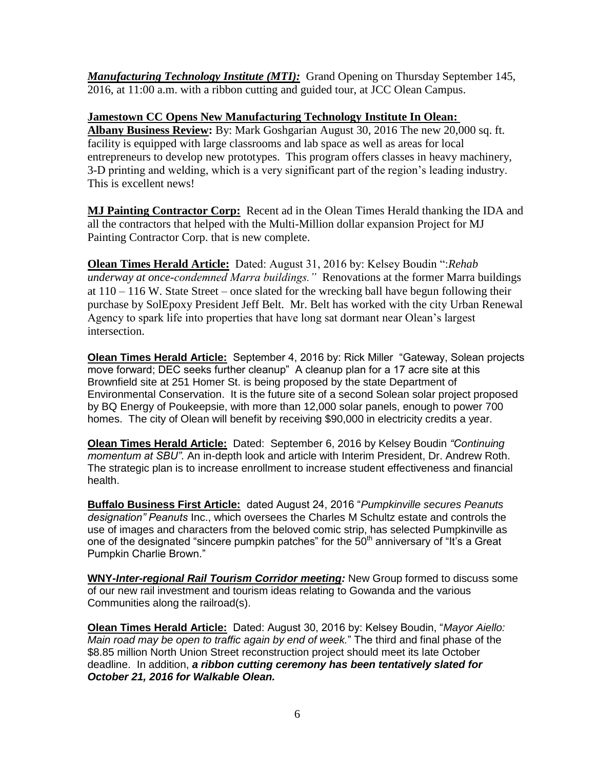*Manufacturing Technology Institute (MTI):* Grand Opening on Thursday September 145, 2016, at 11:00 a.m. with a ribbon cutting and guided tour, at JCC Olean Campus.

## **Jamestown CC Opens New Manufacturing Technology Institute In Olean:**

**Albany Business Review:** By: Mark Goshgarian August 30, 2016 The new 20,000 sq. ft. facility is equipped with large classrooms and lab space as well as areas for local entrepreneurs to develop new prototypes. This program offers classes in heavy machinery, 3-D printing and welding, which is a very significant part of the region's leading industry. This is excellent news!

**MJ Painting Contractor Corp:** Recent ad in the Olean Times Herald thanking the IDA and all the contractors that helped with the Multi-Million dollar expansion Project for MJ Painting Contractor Corp. that is new complete.

**Olean Times Herald Article:** Dated: August 31, 2016 by: Kelsey Boudin ":*Rehab underway at once-condemned Marra buildings."* Renovations at the former Marra buildings at 110 – 116 W. State Street – once slated for the wrecking ball have begun following their purchase by SolEpoxy President Jeff Belt. Mr. Belt has worked with the city Urban Renewal Agency to spark life into properties that have long sat dormant near Olean's largest intersection.

**Olean Times Herald Article:** September 4, 2016 by: Rick Miller "Gateway, Solean projects move forward; DEC seeks further cleanup" A cleanup plan for a 17 acre site at this Brownfield site at 251 Homer St. is being proposed by the state Department of Environmental Conservation. It is the future site of a second Solean solar project proposed by BQ Energy of Poukeepsie, with more than 12,000 solar panels, enough to power 700 homes. The city of Olean will benefit by receiving \$90,000 in electricity credits a year.

**Olean Times Herald Article:** Dated: September 6, 2016 by Kelsey Boudin *"Continuing momentum at SBU"*. An in-depth look and article with Interim President, Dr. Andrew Roth. The strategic plan is to increase enrollment to increase student effectiveness and financial health.

**Buffalo Business First Article:**dated August 24, 2016 "*Pumpkinville secures Peanuts designation" Peanuts* Inc., which oversees the Charles M Schultz estate and controls the use of images and characters from the beloved comic strip, has selected Pumpkinville as one of the designated "sincere pumpkin patches" for the  $50<sup>th</sup>$  anniversary of "It's a Great Pumpkin Charlie Brown."

**WNY-***Inter-regional Rail Tourism Corridor meeting:* New Group formed to discuss some of our new rail investment and tourism ideas relating to Gowanda and the various Communities along the railroad(s).

**Olean Times Herald Article:** Dated: August 30, 2016 by: Kelsey Boudin, "*Mayor Aiello: Main road may be open to traffic again by end of week.*" The third and final phase of the \$8.85 million North Union Street reconstruction project should meet its late October deadline. In addition, *a ribbon cutting ceremony has been tentatively slated for October 21, 2016 for Walkable Olean.*